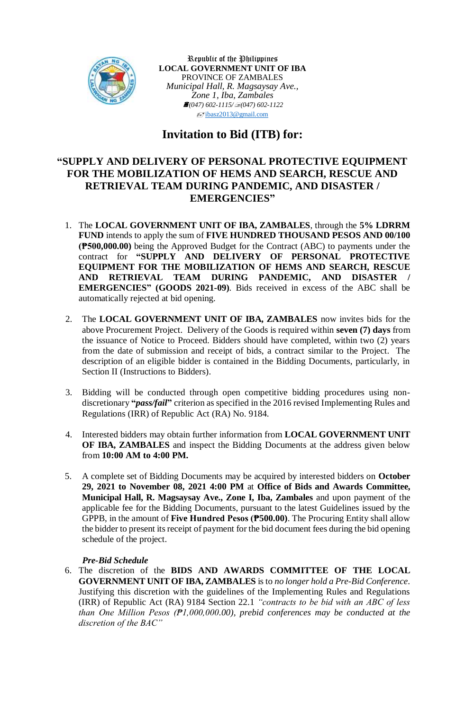

Republic of the Philippines **LOCAL GOVERNMENT UNIT OF IBA** PROVINCE OF ZAMBALES *Municipal Hall, R. Magsaysay Ave., Zone 1, Iba, Zambales (047) 602-1115/(047) 602-1122*  $\sqrt{\frac{1}{2}}$ [ibasz2013@gmail.com](mailto:ibasz2013@gmail.com)

# **Invitation to Bid (ITB) for:**

## **"SUPPLY AND DELIVERY OF PERSONAL PROTECTIVE EQUIPMENT FOR THE MOBILIZATION OF HEMS AND SEARCH, RESCUE AND RETRIEVAL TEAM DURING PANDEMIC, AND DISASTER / EMERGENCIES"**

- 1. The **LOCAL GOVERNMENT UNIT OF IBA, ZAMBALES**, through the **5% LDRRM FUND** intends to apply the sum of **FIVE HUNDRED THOUSAND PESOS AND 00/100 (₱500,000.00)** being the Approved Budget for the Contract (ABC) to payments under the contract for **"SUPPLY AND DELIVERY OF PERSONAL PROTECTIVE EQUIPMENT FOR THE MOBILIZATION OF HEMS AND SEARCH, RESCUE AND RETRIEVAL TEAM DURING PANDEMIC, AND DISASTER / EMERGENCIES" (GOODS 2021-09)**. Bids received in excess of the ABC shall be automatically rejected at bid opening.
- 2. The **LOCAL GOVERNMENT UNIT OF IBA, ZAMBALES** now invites bids for the above Procurement Project. Delivery of the Goods is required within **seven (7) days** from the issuance of Notice to Proceed. Bidders should have completed, within two (2) years from the date of submission and receipt of bids, a contract similar to the Project. The description of an eligible bidder is contained in the Bidding Documents, particularly, in Section II (Instructions to Bidders).
- 3. Bidding will be conducted through open competitive bidding procedures using nondiscretionary **"***pass/fail***"** criterion as specified in the 2016 revised Implementing Rules and Regulations (IRR) of Republic Act (RA) No. 9184.
- 4. Interested bidders may obtain further information from **LOCAL GOVERNMENT UNIT OF IBA, ZAMBALES** and inspect the Bidding Documents at the address given below from **10:00 AM to 4:00 PM.**
- 5. A complete set of Bidding Documents may be acquired by interested bidders on **October 29, 2021 to November 08, 2021 4:00 PM** at **Office of Bids and Awards Committee, Municipal Hall, R. Magsaysay Ave., Zone I, Iba, Zambales** and upon payment of the applicable fee for the Bidding Documents, pursuant to the latest Guidelines issued by the GPPB, in the amount of **Five Hundred Pesos (₱500.00)**. The Procuring Entity shall allow the bidder to present its receipt of payment for the bid document fees during the bid opening schedule of the project.

## *Pre-Bid Schedule*

6. The discretion of the **BIDS AND AWARDS COMMITTEE OF THE LOCAL GOVERNMENT UNIT OF IBA, ZAMBALES** is to *no longer hold a Pre-Bid Conference*. Justifying this discretion with the guidelines of the Implementing Rules and Regulations (IRR) of Republic Act (RA) 9184 Section 22.1 *"contracts to be bid with an ABC of less than One Million Pesos (₱1,000,000.00), prebid conferences may be conducted at the discretion of the BAC"*